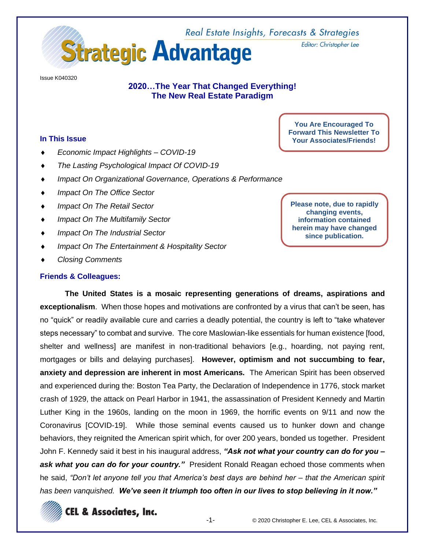

Issue K040320

# **2020…The Year That Changed Everything! The New Real Estate Paradigm**

## **In This Issue**

- *Economic Impact Highlights – COVID-19*
- *The Lasting Psychological Impact Of COVID-19*
- *Impact On Organizational Governance, Operations & Performance*
- *Impact On The Office Sector*
- *Impact On The Retail Sector*
- *Impact On The Multifamily Sector*
- *Impact On The Industrial Sector*
- *Impact On The Entertainment & Hospitality Sector*
- *Closing Comments*

#### **Friends & Colleagues:**

**You Are Encouraged To Forward This Newsletter To Your Associates/Friends!**

Editor: Christopher Lee

**Please note, due to rapidly changing events, information contained herein may have changed since publication.**

**The United States is a mosaic representing generations of dreams, aspirations and exceptionalism**. When those hopes and motivations are confronted by a virus that can't be seen, has no "quick" or readily available cure and carries a deadly potential, the country is left to "take whatever steps necessary" to combat and survive. The core Maslowian-like essentials for human existence [food, shelter and wellness] are manifest in non-traditional behaviors [e.g., hoarding, not paying rent, mortgages or bills and delaying purchases]. **However, optimism and not succumbing to fear, anxiety and depression are inherent in most Americans.** The American Spirit has been observed and experienced during the: Boston Tea Party, the Declaration of Independence in 1776, stock market crash of 1929, the attack on Pearl Harbor in 1941, the assassination of President Kennedy and Martin Luther King in the 1960s, landing on the moon in 1969, the horrific events on 9/11 and now the Coronavirus [COVID-19]. While those seminal events caused us to hunker down and change behaviors, they reignited the American spirit which, for over 200 years, bonded us together. President John F. Kennedy said it best in his inaugural address, *"Ask not what your country can do for you –* ask what you can do for your country." President Ronald Reagan echoed those comments when he said, *"Don't let anyone tell you that America's best days are behind her – that the American spirit has been vanquished. We've seen it triumph too often in our lives to stop believing in it now."*

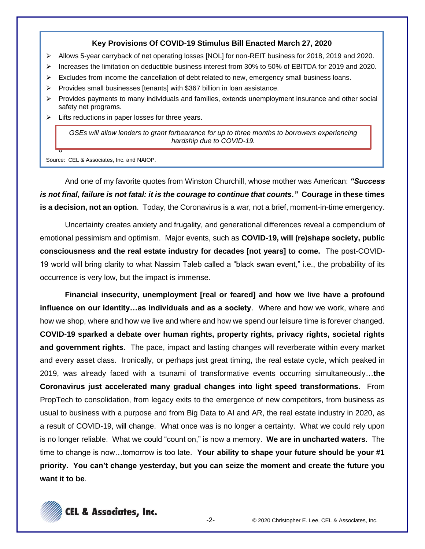## **Key Provisions Of COVID-19 Stimulus Bill Enacted March 27, 2020**

- ➢ Allows 5-year carryback of net operating losses [NOL] for non-REIT business for 2018, 2019 and 2020.
- ➢ Increases the limitation on deductible business interest from 30% to 50% of EBITDA for 2019 and 2020.
- ➢ Excludes from income the cancellation of debt related to new, emergency small business loans.
- ➢ Provides small businesses [tenants] with \$367 billion in loan assistance.
- ➢ Provides payments to many individuals and families, extends unemployment insurance and other social safety net programs.
- $\triangleright$  Lifts reductions in paper losses for three years.

*GSEs will allow lenders to grant forbearance for up to three months to borrowers experiencing hardship due to COVID-19.*

Source: CEL & Associates, Inc. and NAIOP.

6

And one of my favorite quotes from Winston Churchill, whose mother was American: *"Success is not final, failure is not fatal: it is the courage to continue that counts."* **Courage in these times is a decision, not an option**. Today, the Coronavirus is a war, not a brief, moment-in-time emergency.

Uncertainty creates anxiety and frugality, and generational differences reveal a compendium of emotional pessimism and optimism. Major events, such as **COVID-19, will (re)shape society, public consciousness and the real estate industry for decades [not years] to come.** The post-COVID-19 world will bring clarity to what Nassim Taleb called a "black swan event," i.e., the probability of its occurrence is very low, but the impact is immense.

**Financial insecurity, unemployment [real or feared] and how we live have a profound influence on our identity…as individuals and as a society**. Where and how we work, where and how we shop, where and how we live and where and how we spend our leisure time is forever changed. **COVID-19 sparked a debate over human rights, property rights, privacy rights, societal rights and government rights**. The pace, impact and lasting changes will reverberate within every market and every asset class. Ironically, or perhaps just great timing, the real estate cycle, which peaked in 2019, was already faced with a tsunami of transformative events occurring simultaneously…**the Coronavirus just accelerated many gradual changes into light speed transformations**. From PropTech to consolidation, from legacy exits to the emergence of new competitors, from business as usual to business with a purpose and from Big Data to AI and AR, the real estate industry in 2020, as a result of COVID-19, will change. What once was is no longer a certainty. What we could rely upon is no longer reliable. What we could "count on," is now a memory. **We are in uncharted waters**. The time to change is now…tomorrow is too late. **Your ability to shape your future should be your #1 priority. You can't change yesterday, but you can seize the moment and create the future you want it to be**.

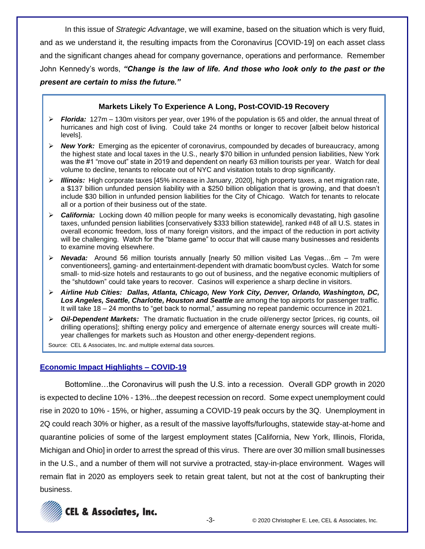In this issue of *Strategic Advantage*, we will examine, based on the situation which is very fluid, and as we understand it, the resulting impacts from the Coronavirus [COVID-19] on each asset class and the significant changes ahead for company governance, operations and performance. Remember John Kennedy's words, *"Change is the law of life. And those who look only to the past or the present are certain to miss the future."*

## **Markets Likely To Experience A Long, Post-COVID-19 Recovery**

- ➢ *Florida:* 127m 130m visitors per year, over 19% of the population is 65 and older, the annual threat of hurricanes and high cost of living. Could take 24 months or longer to recover [albeit below historical levels].
- ➢ *New York:* Emerging as the epicenter of coronavirus, compounded by decades of bureaucracy, among the highest state and local taxes in the U.S., nearly \$70 billion in unfunded pension liabilities, New York was the #1 "move out" state in 2019 and dependent on nearly 63 million tourists per year. Watch for deal volume to decline, tenants to relocate out of NYC and visitation totals to drop significantly.
- ➢ *Illinois:* High corporate taxes [45% increase in January, 2020], high property taxes, a net migration rate, a \$137 billion unfunded pension liability with a \$250 billion obligation that is growing, and that doesn't include \$30 billion in unfunded pension liabilities for the City of Chicago. Watch for tenants to relocate all or a portion of their business out of the state.
- ➢ *California:* Locking down 40 million people for many weeks is economically devastating, high gasoline taxes, unfunded pension liabilities [conservatively \$333 billion statewide], ranked #48 of all U.S. states in overall economic freedom, loss of many foreign visitors, and the impact of the reduction in port activity will be challenging. Watch for the "blame game" to occur that will cause many businesses and residents to examine moving elsewhere.
- ➢ *Nevada:* Around 56 million tourists annually [nearly 50 million visited Las Vegas…6m 7m were conventioneers], gaming- and entertainment-dependent with dramatic boom/bust cycles. Watch for some small- to mid-size hotels and restaurants to go out of business, and the negative economic multipliers of the "shutdown" could take years to recover. Casinos will experience a sharp decline in visitors.
- ➢ *Airline Hub Cities: Dallas, Atlanta, Chicago, New York City, Denver, Orlando, Washington, DC,*  Los Angeles, Seattle, Charlotte, Houston and Seattle are among the top airports for passenger traffic. It will take 18 – 24 months to "get back to normal," assuming no repeat pandemic occurrence in 2021.
- ➢ *Oil-Dependent Markets:* The dramatic fluctuation in the crude oil/energy sector [prices, rig counts, oil drilling operations]; shifting energy policy and emergence of alternate energy sources will create multiyear challenges for markets such as Houston and other energy-dependent regions.

Source: CEL & Associates, Inc. and multiple external data sources.

## **Economic Impact Highlights – COVID-19**

Bottomline…the Coronavirus will push the U.S. into a recession. Overall GDP growth in 2020 is expected to decline 10% - 13%...the deepest recession on record. Some expect unemployment could rise in 2020 to 10% - 15%, or higher, assuming a COVID-19 peak occurs by the 3Q. Unemployment in 2Q could reach 30% or higher, as a result of the massive layoffs/furloughs, statewide stay-at-home and quarantine policies of some of the largest employment states [California, New York, Illinois, Florida, Michigan and Ohio] in order to arrest the spread of this virus. There are over 30 million small businesses in the U.S., and a number of them will not survive a protracted, stay-in-place environment. Wages will remain flat in 2020 as employers seek to retain great talent, but not at the cost of bankrupting their business.

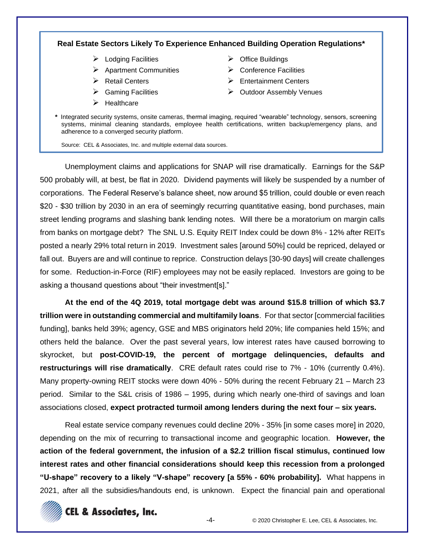## **Real Estate Sectors Likely To Experience Enhanced Building Operation Regulations\***

- ➢ Lodging Facilities
- ➢ Apartment Communities
- ➢ Retail Centers
- ➢ Gaming Facilities
- ➢ Healthcare
- ➢ Office Buildings
- $\triangleright$  Conference Facilities
- ➢ Entertainment Centers
- ➢ Outdoor Assembly Venues
- *\** Integrated security systems, onsite cameras, thermal imaging, required "wearable" technology, sensors, screening systems, minimal cleaning standards, employee health certifications, written backup/emergency plans, and adherence to a converged security platform.

Source: CEL & Associates, Inc. and multiple external data sources.

Unemployment claims and applications for SNAP will rise dramatically. Earnings for the S&P 500 probably will, at best, be flat in 2020. Dividend payments will likely be suspended by a number of corporations. The Federal Reserve's balance sheet, now around \$5 trillion, could double or even reach \$20 - \$30 trillion by 2030 in an era of seemingly recurring quantitative easing, bond purchases, main street lending programs and slashing bank lending notes. Will there be a moratorium on margin calls from banks on mortgage debt? The SNL U.S. Equity REIT Index could be down 8% - 12% after REITs posted a nearly 29% total return in 2019. Investment sales [around 50%] could be repriced, delayed or fall out. Buyers are and will continue to reprice. Construction delays [30-90 days] will create challenges for some. Reduction-in-Force (RIF) employees may not be easily replaced. Investors are going to be asking a thousand questions about "their investment[s]."

**At the end of the 4Q 2019, total mortgage debt was around \$15.8 trillion of which \$3.7 trillion were in outstanding commercial and multifamily loans**. For that sector [commercial facilities funding], banks held 39%; agency, GSE and MBS originators held 20%; life companies held 15%; and others held the balance. Over the past several years, low interest rates have caused borrowing to skyrocket, but **post-COVID-19, the percent of mortgage delinquencies, defaults and restructurings will rise dramatically**. CRE default rates could rise to 7% - 10% (currently 0.4%). Many property-owning REIT stocks were down 40% - 50% during the recent February 21 – March 23 period. Similar to the S&L crisis of 1986 – 1995, during which nearly one-third of savings and loan associations closed, **expect protracted turmoil among lenders during the next four – six years.**

Real estate service company revenues could decline 20% - 35% [in some cases more] in 2020, depending on the mix of recurring to transactional income and geographic location. **However, the action of the federal government, the infusion of a \$2.2 trillion fiscal stimulus, continued low interest rates and other financial considerations should keep this recession from a prolonged "U-shape" recovery to a likely "V-shape" recovery [a 55% - 60% probability].** What happens in 2021, after all the subsidies/handouts end, is unknown. Expect the financial pain and operational

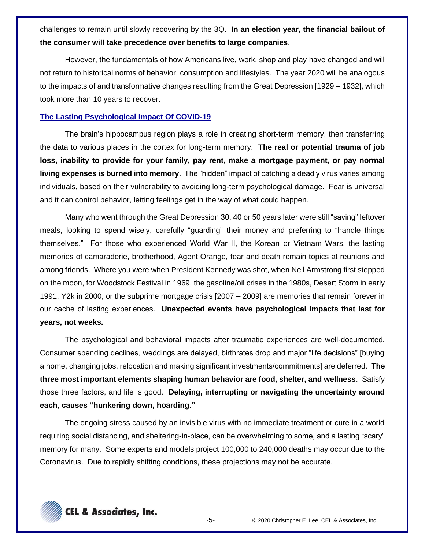challenges to remain until slowly recovering by the 3Q. **In an election year, the financial bailout of the consumer will take precedence over benefits to large companies**.

However, the fundamentals of how Americans live, work, shop and play have changed and will not return to historical norms of behavior, consumption and lifestyles. The year 2020 will be analogous to the impacts of and transformative changes resulting from the Great Depression [1929 – 1932], which took more than 10 years to recover.

### **The Lasting Psychological Impact Of COVID-19**

The brain's hippocampus region plays a role in creating short-term memory, then transferring the data to various places in the cortex for long-term memory. **The real or potential trauma of job loss, inability to provide for your family, pay rent, make a mortgage payment, or pay normal living expenses is burned into memory**. The "hidden" impact of catching a deadly virus varies among individuals, based on their vulnerability to avoiding long-term psychological damage. Fear is universal and it can control behavior, letting feelings get in the way of what could happen.

Many who went through the Great Depression 30, 40 or 50 years later were still "saving" leftover meals, looking to spend wisely, carefully "guarding" their money and preferring to "handle things themselves." For those who experienced World War II, the Korean or Vietnam Wars, the lasting memories of camaraderie, brotherhood, Agent Orange, fear and death remain topics at reunions and among friends. Where you were when President Kennedy was shot, when Neil Armstrong first stepped on the moon, for Woodstock Festival in 1969, the gasoline/oil crises in the 1980s, Desert Storm in early 1991, Y2k in 2000, or the subprime mortgage crisis [2007 – 2009] are memories that remain forever in our cache of lasting experiences. **Unexpected events have psychological impacts that last for years, not weeks.**

The psychological and behavioral impacts after traumatic experiences are well-documented. Consumer spending declines, weddings are delayed, birthrates drop and major "life decisions" [buying a home, changing jobs, relocation and making significant investments/commitments] are deferred. **The three most important elements shaping human behavior are food, shelter, and wellness**. Satisfy those three factors, and life is good. **Delaying, interrupting or navigating the uncertainty around each, causes "hunkering down, hoarding."**

The ongoing stress caused by an invisible virus with no immediate treatment or cure in a world requiring social distancing, and sheltering-in-place, can be overwhelming to some, and a lasting "scary" memory for many. Some experts and models project 100,000 to 240,000 deaths may occur due to the Coronavirus. Due to rapidly shifting conditions, these projections may not be accurate.

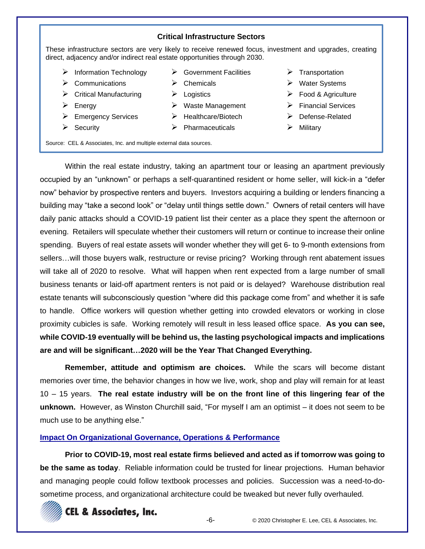#### **Critical Infrastructure Sectors**

These infrastructure sectors are very likely to receive renewed focus, investment and upgrades, creating direct, adjacency and/or indirect real estate opportunities through 2030.

 $\triangleright$  Government Facilities

- ➢ Information Technology
- $\triangleright$  Communications
- $\triangleright$  Critical Manufacturing
- ➢ Energy
- ➢ Emergency Services
- ➢ Security
- ➢ Chemicals
- ➢ Logistics
- ➢ Waste Management
- ➢ Healthcare/Biotech
- $\triangleright$  Pharmaceuticals
- ➢ Transportation
	- ➢ Water Systems
- ➢ Food & Agriculture
- ➢ Financial Services
- ➢ Defense-Related
- ➢ Military

Source: CEL & Associates, Inc. and multiple external data sources.

Within the real estate industry, taking an apartment tour or leasing an apartment previously occupied by an "unknown" or perhaps a self-quarantined resident or home seller, will kick-in a "defer now" behavior by prospective renters and buyers. Investors acquiring a building or lenders financing a building may "take a second look" or "delay until things settle down." Owners of retail centers will have daily panic attacks should a COVID-19 patient list their center as a place they spent the afternoon or evening. Retailers will speculate whether their customers will return or continue to increase their online spending. Buyers of real estate assets will wonder whether they will get 6- to 9-month extensions from sellers…will those buyers walk, restructure or revise pricing? Working through rent abatement issues will take all of 2020 to resolve. What will happen when rent expected from a large number of small business tenants or laid-off apartment renters is not paid or is delayed? Warehouse distribution real estate tenants will subconsciously question "where did this package come from" and whether it is safe to handle. Office workers will question whether getting into crowded elevators or working in close proximity cubicles is safe. Working remotely will result in less leased office space. **As you can see, while COVID-19 eventually will be behind us, the lasting psychological impacts and implications are and will be significant…2020 will be the Year That Changed Everything.**

**Remember, attitude and optimism are choices.** While the scars will become distant memories over time, the behavior changes in how we live, work, shop and play will remain for at least 10 – 15 years. **The real estate industry will be on the front line of this lingering fear of the unknown.** However, as Winston Churchill said, "For myself I am an optimist – it does not seem to be much use to be anything else."

#### **Impact On Organizational Governance, Operations & Performance**

**Prior to COVID-19, most real estate firms believed and acted as if tomorrow was going to be the same as today**. Reliable information could be trusted for linear projections. Human behavior and managing people could follow textbook processes and policies. Succession was a need-to-dosometime process, and organizational architecture could be tweaked but never fully overhauled.

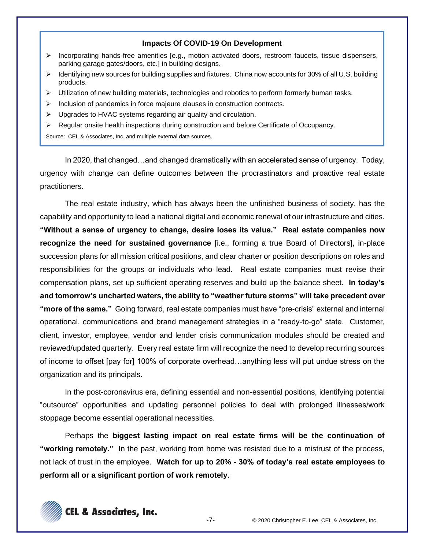#### **Impacts Of COVID-19 On Development**

- ➢ Incorporating hands-free amenities [e.g., motion activated doors, restroom faucets, tissue dispensers, parking garage gates/doors, etc.] in building designs.
- ➢ Identifying new sources for building supplies and fixtures. China now accounts for 30% of all U.S. building products.
- ➢ Utilization of new building materials, technologies and robotics to perform formerly human tasks.
- ➢ Inclusion of pandemics in force majeure clauses in construction contracts.
- ➢ Upgrades to HVAC systems regarding air quality and circulation.
- ➢ Regular onsite health inspections during construction and before Certificate of Occupancy.

Source: CEL & Associates, Inc. and multiple external data sources.

In 2020, that changed…and changed dramatically with an accelerated sense of urgency. Today, urgency with change can define outcomes between the procrastinators and proactive real estate practitioners.

The real estate industry, which has always been the unfinished business of society, has the capability and opportunity to lead a national digital and economic renewal of our infrastructure and cities. **"Without a sense of urgency to change, desire loses its value." Real estate companies now recognize the need for sustained governance** [i.e., forming a true Board of Directors], in-place succession plans for all mission critical positions, and clear charter or position descriptions on roles and responsibilities for the groups or individuals who lead. Real estate companies must revise their compensation plans, set up sufficient operating reserves and build up the balance sheet. **In today's and tomorrow's uncharted waters, the ability to "weather future storms" will take precedent over "more of the same."** Going forward, real estate companies must have "pre-crisis" external and internal operational, communications and brand management strategies in a "ready-to-go" state. Customer, client, investor, employee, vendor and lender crisis communication modules should be created and reviewed/updated quarterly. Every real estate firm will recognize the need to develop recurring sources of income to offset [pay for] 100% of corporate overhead…anything less will put undue stress on the organization and its principals.

In the post-coronavirus era, defining essential and non-essential positions, identifying potential "outsource" opportunities and updating personnel policies to deal with prolonged illnesses/work stoppage become essential operational necessities.

Perhaps the **biggest lasting impact on real estate firms will be the continuation of "working remotely."** In the past, working from home was resisted due to a mistrust of the process, not lack of trust in the employee. **Watch for up to 20% - 30% of today's real estate employees to perform all or a significant portion of work remotely**.

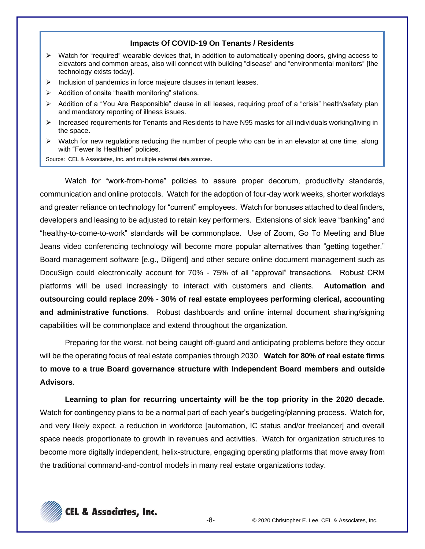#### **Impacts Of COVID-19 On Tenants / Residents**

- ➢ Watch for "required" wearable devices that, in addition to automatically opening doors, giving access to elevators and common areas, also will connect with building "disease" and "environmental monitors" [the technology exists today].
- ➢ Inclusion of pandemics in force majeure clauses in tenant leases.
- ➢ Addition of onsite "health monitoring" stations.
- ➢ Addition of a "You Are Responsible" clause in all leases, requiring proof of a "crisis" health/safety plan and mandatory reporting of illness issues.
- ➢ Increased requirements for Tenants and Residents to have N95 masks for all individuals working/living in the space.
- ➢ Watch for new regulations reducing the number of people who can be in an elevator at one time, along with "Fewer Is Healthier" policies.

Source: CEL & Associates, Inc. and multiple external data sources.

Watch for "work-from-home" policies to assure proper decorum, productivity standards, communication and online protocols. Watch for the adoption of four-day work weeks, shorter workdays and greater reliance on technology for "current" employees. Watch for bonuses attached to deal finders, developers and leasing to be adjusted to retain key performers. Extensions of sick leave "banking" and "healthy-to-come-to-work" standards will be commonplace. Use of Zoom, Go To Meeting and Blue Jeans video conferencing technology will become more popular alternatives than "getting together." Board management software [e.g., Diligent] and other secure online document management such as DocuSign could electronically account for 70% - 75% of all "approval" transactions. Robust CRM platforms will be used increasingly to interact with customers and clients. **Automation and outsourcing could replace 20% - 30% of real estate employees performing clerical, accounting and administrative functions**. Robust dashboards and online internal document sharing/signing capabilities will be commonplace and extend throughout the organization.

Preparing for the worst, not being caught off-guard and anticipating problems before they occur will be the operating focus of real estate companies through 2030. **Watch for 80% of real estate firms to move to a true Board governance structure with Independent Board members and outside Advisors**.

**Learning to plan for recurring uncertainty will be the top priority in the 2020 decade.** Watch for contingency plans to be a normal part of each year's budgeting/planning process. Watch for, and very likely expect, a reduction in workforce [automation, IC status and/or freelancer] and overall space needs proportionate to growth in revenues and activities. Watch for organization structures to become more digitally independent, helix-structure, engaging operating platforms that move away from the traditional command-and-control models in many real estate organizations today.

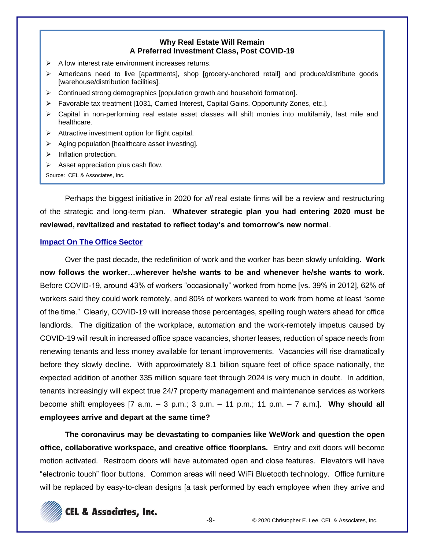### **Why Real Estate Will Remain A Preferred Investment Class, Post COVID-19**

- $\triangleright$  A low interest rate environment increases returns.
- ➢ Americans need to live [apartments], shop [grocery-anchored retail] and produce/distribute goods [warehouse/distribution facilities].
- $\triangleright$  Continued strong demographics [population growth and household formation].
- ➢ Favorable tax treatment [1031, Carried Interest, Capital Gains, Opportunity Zones, etc.].
- ➢ Capital in non-performing real estate asset classes will shift monies into multifamily, last mile and healthcare.
- ➢ Attractive investment option for flight capital.
- $\triangleright$  Aging population [healthcare asset investing].
- ➢ Inflation protection.
- ➢ Asset appreciation plus cash flow.

Source: CEL & Associates, Inc.

Perhaps the biggest initiative in 2020 for *all* real estate firms will be a review and restructuring of the strategic and long-term plan. **Whatever strategic plan you had entering 2020 must be reviewed, revitalized and restated to reflect today's and tomorrow's new normal**.

## **Impact On The Office Sector**

Over the past decade, the redefinition of work and the worker has been slowly unfolding. **Work now follows the worker…wherever he/she wants to be and whenever he/she wants to work.** Before COVID-19, around 43% of workers "occasionally" worked from home [vs. 39% in 2012], 62% of workers said they could work remotely, and 80% of workers wanted to work from home at least "some of the time." Clearly, COVID-19 will increase those percentages, spelling rough waters ahead for office landlords. The digitization of the workplace, automation and the work-remotely impetus caused by COVID-19 will result in increased office space vacancies, shorter leases, reduction of space needs from renewing tenants and less money available for tenant improvements. Vacancies will rise dramatically before they slowly decline. With approximately 8.1 billion square feet of office space nationally, the expected addition of another 335 million square feet through 2024 is very much in doubt. In addition, tenants increasingly will expect true 24/7 property management and maintenance services as workers become shift employees [7 a.m. – 3 p.m.; 3 p.m. – 11 p.m.; 11 p.m. – 7 a.m.]. **Why should all employees arrive and depart at the same time?**

**The coronavirus may be devastating to companies like WeWork and question the open office, collaborative workspace, and creative office floorplans.** Entry and exit doors will become motion activated. Restroom doors will have automated open and close features. Elevators will have "electronic touch" floor buttons. Common areas will need WiFi Bluetooth technology. Office furniture will be replaced by easy-to-clean designs [a task performed by each employee when they arrive and

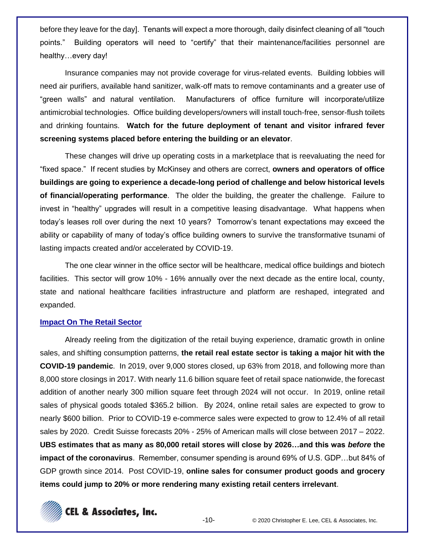before they leave for the day]. Tenants will expect a more thorough, daily disinfect cleaning of all "touch points." Building operators will need to "certify" that their maintenance/facilities personnel are healthy…every day!

Insurance companies may not provide coverage for virus-related events. Building lobbies will need air purifiers, available hand sanitizer, walk-off mats to remove contaminants and a greater use of "green walls" and natural ventilation. Manufacturers of office furniture will incorporate/utilize antimicrobial technologies. Office building developers/owners will install touch-free, sensor-flush toilets and drinking fountains. **Watch for the future deployment of tenant and visitor infrared fever screening systems placed before entering the building or an elevator**.

These changes will drive up operating costs in a marketplace that is reevaluating the need for "fixed space." If recent studies by McKinsey and others are correct, **owners and operators of office buildings are going to experience a decade-long period of challenge and below historical levels of financial/operating performance**. The older the building, the greater the challenge. Failure to invest in "healthy" upgrades will result in a competitive leasing disadvantage. What happens when today's leases roll over during the next 10 years? Tomorrow's tenant expectations may exceed the ability or capability of many of today's office building owners to survive the transformative tsunami of lasting impacts created and/or accelerated by COVID-19.

The one clear winner in the office sector will be healthcare, medical office buildings and biotech facilities. This sector will grow 10% - 16% annually over the next decade as the entire local, county, state and national healthcare facilities infrastructure and platform are reshaped, integrated and expanded.

#### **Impact On The Retail Sector**

Already reeling from the digitization of the retail buying experience, dramatic growth in online sales, and shifting consumption patterns, **the retail real estate sector is taking a major hit with the COVID-19 pandemic**. In 2019, over 9,000 stores closed, up 63% from 2018, and following more than 8,000 store closings in 2017. With nearly 11.6 billion square feet of retail space nationwide, the forecast addition of another nearly 300 million square feet through 2024 will not occur. In 2019, online retail sales of physical goods totaled \$365.2 billion. By 2024, online retail sales are expected to grow to nearly \$600 billion. Prior to COVID-19 e-commerce sales were expected to grow to 12.4% of all retail sales by 2020. Credit Suisse forecasts 20% - 25% of American malls will close between 2017 – 2022. **UBS estimates that as many as 80,000 retail stores will close by 2026…and this was** *before* **the impact of the coronavirus**. Remember, consumer spending is around 69% of U.S. GDP…but 84% of GDP growth since 2014. Post COVID-19, **online sales for consumer product goods and grocery items could jump to 20% or more rendering many existing retail centers irrelevant**.

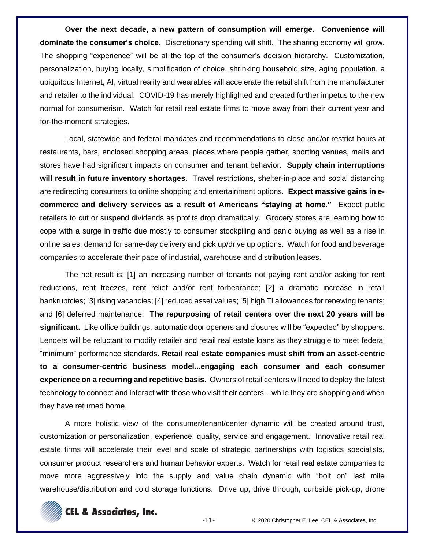**Over the next decade, a new pattern of consumption will emerge. Convenience will dominate the consumer's choice**. Discretionary spending will shift. The sharing economy will grow. The shopping "experience" will be at the top of the consumer's decision hierarchy. Customization, personalization, buying locally, simplification of choice, shrinking household size, aging population, a ubiquitous Internet, AI, virtual reality and wearables will accelerate the retail shift from the manufacturer and retailer to the individual. COVID-19 has merely highlighted and created further impetus to the new normal for consumerism. Watch for retail real estate firms to move away from their current year and for-the-moment strategies.

Local, statewide and federal mandates and recommendations to close and/or restrict hours at restaurants, bars, enclosed shopping areas, places where people gather, sporting venues, malls and stores have had significant impacts on consumer and tenant behavior. **Supply chain interruptions will result in future inventory shortages**. Travel restrictions, shelter-in-place and social distancing are redirecting consumers to online shopping and entertainment options. **Expect massive gains in ecommerce and delivery services as a result of Americans "staying at home."** Expect public retailers to cut or suspend dividends as profits drop dramatically. Grocery stores are learning how to cope with a surge in traffic due mostly to consumer stockpiling and panic buying as well as a rise in online sales, demand for same-day delivery and pick up/drive up options. Watch for food and beverage companies to accelerate their pace of industrial, warehouse and distribution leases.

The net result is: [1] an increasing number of tenants not paying rent and/or asking for rent reductions, rent freezes, rent relief and/or rent forbearance; [2] a dramatic increase in retail bankruptcies; [3] rising vacancies; [4] reduced asset values; [5] high TI allowances for renewing tenants; and [6] deferred maintenance. **The repurposing of retail centers over the next 20 years will be significant.** Like office buildings, automatic door openers and closures will be "expected" by shoppers. Lenders will be reluctant to modify retailer and retail real estate loans as they struggle to meet federal "minimum" performance standards. **Retail real estate companies must shift from an asset-centric to a consumer-centric business model...engaging each consumer and each consumer experience on a recurring and repetitive basis.** Owners of retail centers will need to deploy the latest technology to connect and interact with those who visit their centers…while they are shopping and when they have returned home.

A more holistic view of the consumer/tenant/center dynamic will be created around trust, customization or personalization, experience, quality, service and engagement. Innovative retail real estate firms will accelerate their level and scale of strategic partnerships with logistics specialists, consumer product researchers and human behavior experts. Watch for retail real estate companies to move more aggressively into the supply and value chain dynamic with "bolt on" last mile warehouse/distribution and cold storage functions. Drive up, drive through, curbside pick-up, drone

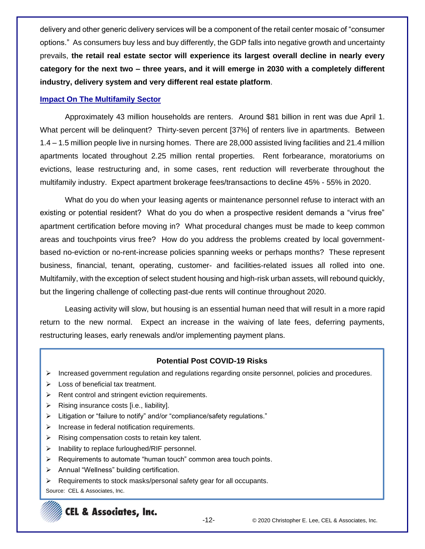delivery and other generic delivery services will be a component of the retail center mosaic of "consumer options." As consumers buy less and buy differently, the GDP falls into negative growth and uncertainty prevails, **the retail real estate sector will experience its largest overall decline in nearly every category for the next two – three years, and it will emerge in 2030 with a completely different industry, delivery system and very different real estate platform**.

## **Impact On The Multifamily Sector**

Approximately 43 million households are renters. Around \$81 billion in rent was due April 1. What percent will be delinquent? Thirty-seven percent [37%] of renters live in apartments. Between 1.4 – 1.5 million people live in nursing homes. There are 28,000 assisted living facilities and 21.4 million apartments located throughout 2.25 million rental properties. Rent forbearance, moratoriums on evictions, lease restructuring and, in some cases, rent reduction will reverberate throughout the multifamily industry. Expect apartment brokerage fees/transactions to decline 45% - 55% in 2020.

What do you do when your leasing agents or maintenance personnel refuse to interact with an existing or potential resident? What do you do when a prospective resident demands a "virus free" apartment certification before moving in? What procedural changes must be made to keep common areas and touchpoints virus free? How do you address the problems created by local governmentbased no-eviction or no-rent-increase policies spanning weeks or perhaps months? These represent business, financial, tenant, operating, customer- and facilities-related issues all rolled into one. Multifamily, with the exception of select student housing and high-risk urban assets, will rebound quickly, but the lingering challenge of collecting past-due rents will continue throughout 2020.

Leasing activity will slow, but housing is an essential human need that will result in a more rapid return to the new normal. Expect an increase in the waiving of late fees, deferring payments, restructuring leases, early renewals and/or implementing payment plans.

## **Potential Post COVID-19 Risks**

- ➢ Increased government regulation and regulations regarding onsite personnel, policies and procedures.
- ➢ Loss of beneficial tax treatment.
- $\triangleright$  Rent control and stringent eviction requirements.
- $\triangleright$  Rising insurance costs [i.e., liability].
- ➢ Litigation or "failure to notify" and/or "compliance/safety regulations."
- ➢ Increase in federal notification requirements.
- $\triangleright$  Rising compensation costs to retain key talent.
- ➢ Inability to replace furloughed/RIF personnel.
- $\triangleright$  Requirements to automate "human touch" common area touch points.
- ➢ Annual "Wellness" building certification.
- ➢ Requirements to stock masks/personal safety gear for all occupants.

Source: CEL & Associates, Inc.

# **CEL & Associates, Inc.**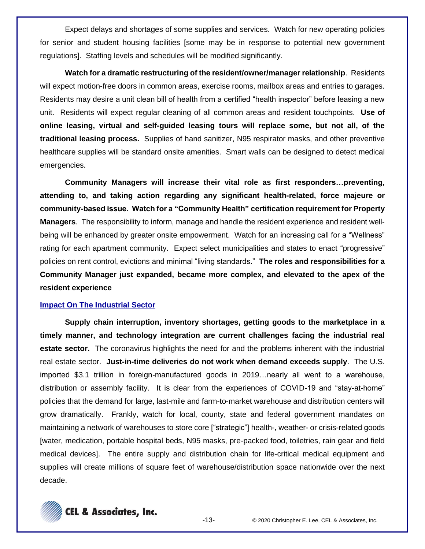Expect delays and shortages of some supplies and services. Watch for new operating policies for senior and student housing facilities [some may be in response to potential new government regulations]. Staffing levels and schedules will be modified significantly.

**Watch for a dramatic restructuring of the resident/owner/manager relationship**. Residents will expect motion-free doors in common areas, exercise rooms, mailbox areas and entries to garages. Residents may desire a unit clean bill of health from a certified "health inspector" before leasing a new unit. Residents will expect regular cleaning of all common areas and resident touchpoints. **Use of online leasing, virtual and self-guided leasing tours will replace some, but not all, of the traditional leasing process.** Supplies of hand sanitizer, N95 respirator masks, and other preventive healthcare supplies will be standard onsite amenities. Smart walls can be designed to detect medical emergencies.

**Community Managers will increase their vital role as first responders…preventing, attending to, and taking action regarding any significant health-related, force majeure or community-based issue. Watch for a "Community Health" certification requirement for Property Managers**. The responsibility to inform, manage and handle the resident experience and resident wellbeing will be enhanced by greater onsite empowerment. Watch for an increasing call for a "Wellness" rating for each apartment community. Expect select municipalities and states to enact "progressive" policies on rent control, evictions and minimal "living standards." **The roles and responsibilities for a Community Manager just expanded, became more complex, and elevated to the apex of the resident experience**

#### **Impact On The Industrial Sector**

**Supply chain interruption, inventory shortages, getting goods to the marketplace in a timely manner, and technology integration are current challenges facing the industrial real estate sector.** The coronavirus highlights the need for and the problems inherent with the industrial real estate sector. **Just-in-time deliveries do not work when demand exceeds supply**. The U.S. imported \$3.1 trillion in foreign-manufactured goods in 2019…nearly all went to a warehouse, distribution or assembly facility. It is clear from the experiences of COVID-19 and "stay-at-home" policies that the demand for large, last-mile and farm-to-market warehouse and distribution centers will grow dramatically. Frankly, watch for local, county, state and federal government mandates on maintaining a network of warehouses to store core ["strategic"] health-, weather- or crisis-related goods [water, medication, portable hospital beds, N95 masks, pre-packed food, toiletries, rain gear and field medical devices]. The entire supply and distribution chain for life-critical medical equipment and supplies will create millions of square feet of warehouse/distribution space nationwide over the next decade.

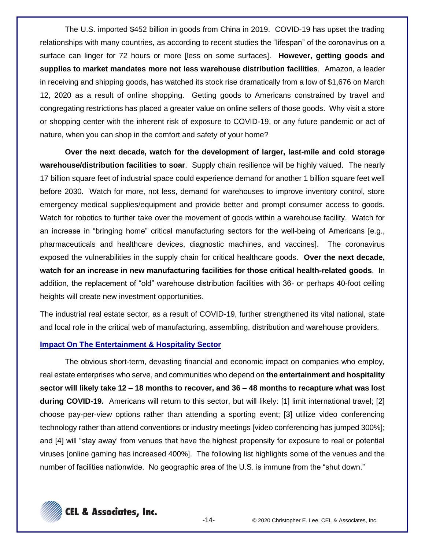The U.S. imported \$452 billion in goods from China in 2019. COVID-19 has upset the trading relationships with many countries, as according to recent studies the "lifespan" of the coronavirus on a surface can linger for 72 hours or more [less on some surfaces]. **However, getting goods and supplies to market mandates more not less warehouse distribution facilities**. Amazon, a leader in receiving and shipping goods, has watched its stock rise dramatically from a low of \$1,676 on March 12, 2020 as a result of online shopping. Getting goods to Americans constrained by travel and congregating restrictions has placed a greater value on online sellers of those goods. Why visit a store or shopping center with the inherent risk of exposure to COVID-19, or any future pandemic or act of nature, when you can shop in the comfort and safety of your home?

**Over the next decade, watch for the development of larger, last-mile and cold storage warehouse/distribution facilities to soar**. Supply chain resilience will be highly valued. The nearly 17 billion square feet of industrial space could experience demand for another 1 billion square feet well before 2030. Watch for more, not less, demand for warehouses to improve inventory control, store emergency medical supplies/equipment and provide better and prompt consumer access to goods. Watch for robotics to further take over the movement of goods within a warehouse facility. Watch for an increase in "bringing home" critical manufacturing sectors for the well-being of Americans [e.g., pharmaceuticals and healthcare devices, diagnostic machines, and vaccines]. The coronavirus exposed the vulnerabilities in the supply chain for critical healthcare goods. **Over the next decade, watch for an increase in new manufacturing facilities for those critical health-related goods**. In addition, the replacement of "old" warehouse distribution facilities with 36- or perhaps 40-foot ceiling heights will create new investment opportunities.

The industrial real estate sector, as a result of COVID-19, further strengthened its vital national, state and local role in the critical web of manufacturing, assembling, distribution and warehouse providers.

## **Impact On The Entertainment & Hospitality Sector**

The obvious short-term, devasting financial and economic impact on companies who employ, real estate enterprises who serve, and communities who depend on **the entertainment and hospitality sector will likely take 12 – 18 months to recover, and 36 – 48 months to recapture what was lost during COVID-19.** Americans will return to this sector, but will likely: [1] limit international travel; [2] choose pay-per-view options rather than attending a sporting event; [3] utilize video conferencing technology rather than attend conventions or industry meetings [video conferencing has jumped 300%]; and [4] will "stay away' from venues that have the highest propensity for exposure to real or potential viruses [online gaming has increased 400%]. The following list highlights some of the venues and the number of facilities nationwide. No geographic area of the U.S. is immune from the "shut down."

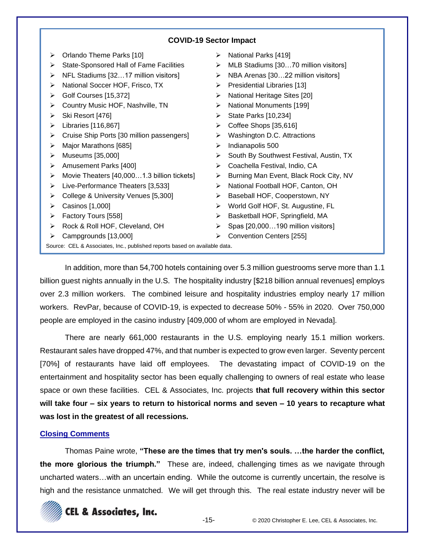## **COVID-19 Sector Impact**

➢ Orlando Theme Parks [10] ➢ State-Sponsored Hall of Fame Facilities ➢ NFL Stadiums [32…17 million visitors] ➢ National Soccer HOF, Frisco, TX ➢ Golf Courses [15,372] ➢ Country Music HOF, Nashville, TN ➢ Ski Resort [476] ➢ Libraries [116,867] ➢ Cruise Ship Ports [30 million passengers] ➢ Major Marathons [685] ➢ Museums [35,000] ➢ Amusement Parks [400] ➢ Movie Theaters [40,000…1.3 billion tickets] ➢ Live-Performance Theaters [3,533] ➢ College & University Venues [5,300]  $\triangleright$  Casinos [1,000] ➢ Factory Tours [558] ➢ Rock & Roll HOF, Cleveland, OH ➢ Campgrounds [13,000] ➢ National Parks [419] ➢ MLB Stadiums [30…70 million visitors] ➢ NBA Arenas [30…22 million visitors] ➢ Presidential Libraries [13] ➢ National Heritage Sites [20] ➢ National Monuments [199]  $\triangleright$  State Parks [10,234] ➢ Coffee Shops [35,616] ➢ Washington D.C. Attractions ➢ Indianapolis 500 ➢ South By Southwest Festival, Austin, TX ➢ Coachella Festival, Indio, CA ➢ Burning Man Event, Black Rock City, NV ➢ National Football HOF, Canton, OH ➢ Baseball HOF, Cooperstown, NY ➢ World Golf HOF, St. Augustine, FL ➢ Basketball HOF, Springfield, MA ➢ Spas [20,000…190 million visitors] ➢ Convention Centers [255]

Source: CEL & Associates, Inc., published reports based on available data.

In addition, more than 54,700 hotels containing over 5.3 million guestrooms serve more than 1.1 billion guest nights annually in the U.S. The hospitality industry [\$218 billion annual revenues] employs over 2.3 million workers. The combined leisure and hospitality industries employ nearly 17 million workers. RevPar, because of COVID-19, is expected to decrease 50% - 55% in 2020. Over 750,000 people are employed in the casino industry [409,000 of whom are employed in Nevada].

There are nearly 661,000 restaurants in the U.S. employing nearly 15.1 million workers. Restaurant sales have dropped 47%, and that number is expected to grow even larger. Seventy percent [70%] of restaurants have laid off employees. The devastating impact of COVID-19 on the entertainment and hospitality sector has been equally challenging to owners of real estate who lease space or own these facilities. CEL & Associates, Inc. projects **that full recovery within this sector will take four – six years to return to historical norms and seven – 10 years to recapture what was lost in the greatest of all recessions.**

## **Closing Comments**

Thomas Paine wrote, **"These are the times that try men's souls. …the harder the conflict, the more glorious the triumph."** These are, indeed, challenging times as we navigate through uncharted waters…with an uncertain ending. While the outcome is currently uncertain, the resolve is high and the resistance unmatched. We will get through this. The real estate industry never will be

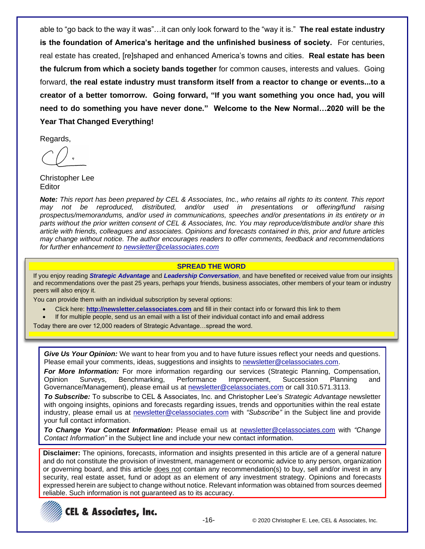able to "go back to the way it was"…it can only look forward to the "way it is." **The real estate industry is the foundation of America's heritage and the unfinished business of society.** For centuries, real estate has created, [re]shaped and enhanced America's towns and cities. **Real estate has been the fulcrum from which a society bands together** for common causes, interests and values. Going forward, **the real estate industry must transform itself from a reactor to change or events...to a creator of a better tomorrow. Going forward, "If you want something you once had, you will need to do something you have never done." Welcome to the New Normal…2020 will be the Year That Changed Everything!**

Regards,

Christopher Lee Editor

*Note: This report has been prepared by CEL & Associates, Inc., who retains all rights to its content. This report may not be reproduced, distributed, and/or used in presentations or offering/fund raising prospectus/memorandums, and/or used in communications, speeches and/or presentations in its entirety or in parts without the prior written consent of CEL & Associates, Inc. You may reproduce/distribute and/or share this article with friends, colleagues and associates. Opinions and forecasts contained in this, prior and future articles may change without notice. The author encourages readers to offer comments, feedback and recommendations for further enhancement to [newsletter@celassociates.com](mailto:newsletter@celassociates.com)*

#### **SPREAD THE WORD**

If you enjoy reading *Strategic Advantage* and *Leadership Conversation*, and have benefited or received value from our insights and recommendations over the past 25 years, perhaps your friends, business associates, other members of your team or industry peers will also enjoy it.

You can provide them with an individual subscription by several options:

- Click here: **http://newsletter.celassociates.com** and fill in their contact info or forward this link to them
- If for multiple people, send us an email with a list of their individual contact info and email address

Today there are over 12,000 readers of Strategic Advantage…spread the word.

*Give Us Your Opinion:* We want to hear from you and to have future issues reflect your needs and questions. Please email your comments, ideas, suggestions and insights to newsletter@celassociates.com.

*For More Information:* For more information regarding our services (Strategic Planning, Compensation, Opinion Surveys, Benchmarking, Performance Improvement, Succession Planning and Governance/Management), please email us at newsletter@celassociates.com or call 310.571.3113.

*To Subscribe:* To subscribe to CEL & Associates, Inc. and Christopher Lee's *Strategic Advantage* newsletter with ongoing insights, opinions and forecasts regarding issues, trends and opportunities within the real estate industry, please email us at newsletter@celassociates.com with *"Subscribe"* in the Subject line and provide your full contact information.

*To Change Your Contact Information***:** Please email us at newsletter@celassociates.com with *"Change Contact Information"* in the Subject line and include your new contact information.

**Disclaimer:** The opinions, forecasts, information and insights presented in this article are of a general nature and do not constitute the provision of investment, management or economic advice to any person, organization or governing board, and this article does not contain any recommendation(s) to buy, sell and/or invest in any security, real estate asset, fund or adopt as an element of any investment strategy. Opinions and forecasts expressed herein are subject to change without notice. Relevant information was obtained from sources deemed reliable. Such information is not guaranteed as to its accuracy.